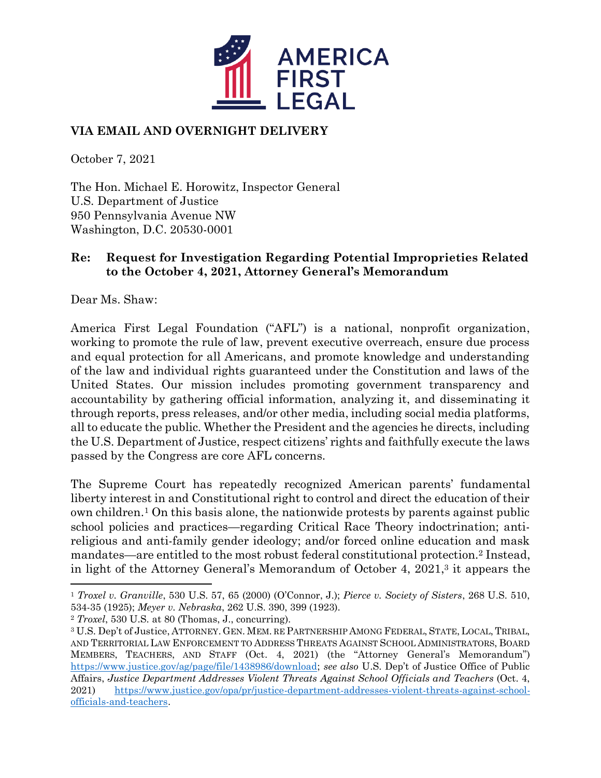

## **VIA EMAIL AND OVERNIGHT DELIVERY**

October 7, 2021

The Hon. Michael E. Horowitz, Inspector General U.S. Department of Justice 950 Pennsylvania Avenue NW Washington, D.C. 20530-0001

## **Re: Request for Investigation Regarding Potential Improprieties Related to the October 4, 2021, Attorney General's Memorandum**

Dear Ms. Shaw:

America First Legal Foundation ("AFL") is a national, nonprofit organization, working to promote the rule of law, prevent executive overreach, ensure due process and equal protection for all Americans, and promote knowledge and understanding of the law and individual rights guaranteed under the Constitution and laws of the United States. Our mission includes promoting government transparency and accountability by gathering official information, analyzing it, and disseminating it through reports, press releases, and/or other media, including social media platforms, all to educate the public. Whether the President and the agencies he directs, including the U.S. Department of Justice, respect citizens' rights and faithfully execute the laws passed by the Congress are core AFL concerns.

The Supreme Court has repeatedly recognized American parents' fundamental liberty interest in and Constitutional right to control and direct the education of their own children.<sup>1</sup> On this basis alone, the nationwide protests by parents against public school policies and practices—regarding Critical Race Theory indoctrination; antireligious and anti-family gender ideology; and/or forced online education and mask mandates—are entitled to the most robust federal constitutional protection. <sup>2</sup> Instead, in light of the Attorney General's Memorandum of October 4, 2021,<sup>3</sup> it appears the

<sup>2</sup> *Troxel*, 530 U.S. at 80 (Thomas, J., concurring).

<sup>1</sup> *Troxel v. Granville*, 530 U.S. 57, 65 (2000) (O'Connor, J.); *Pierce v. Society of Sisters*, 268 U.S. 510, 534-35 (1925); *Meyer v. Nebraska*, 262 U.S. 390, 399 (1923).

<sup>3</sup> U.S. Dep't of Justice, ATTORNEY. GEN. MEM. RE PARTNERSHIP AMONG FEDERAL, STATE, LOCAL, TRIBAL, AND TERRITORIAL LAW ENFORCEMENT TO ADDRESS THREATS AGAINST SCHOOL ADMINISTRATORS, BOARD MEMBERS, TEACHERS, AND STAFF (Oct. 4, 2021) (the "Attorney General's Memorandum") [https://www.justice.gov/ag/page/file/1438986/download;](https://www.justice.gov/ag/page/file/1438986/download) *see also* U.S. Dep't of Justice Office of Public Affairs, *Justice Department Addresses Violent Threats Against School Officials and Teachers* (Oct. 4, 2021) [https://www.justice.gov/opa/pr/justice-department-addresses-violent-threats-against-school](https://www.justice.gov/opa/pr/justice-department-addresses-violent-threats-against-school-officials-and-teachers)[officials-and-teachers.](https://www.justice.gov/opa/pr/justice-department-addresses-violent-threats-against-school-officials-and-teachers)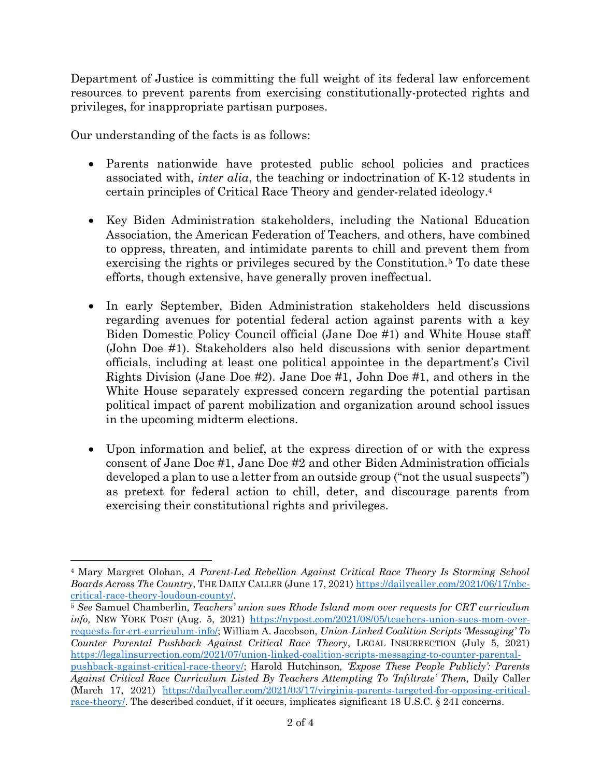Department of Justice is committing the full weight of its federal law enforcement resources to prevent parents from exercising constitutionally-protected rights and privileges, for inappropriate partisan purposes.

Our understanding of the facts is as follows:

- Parents nationwide have protested public school policies and practices associated with, *inter alia*, the teaching or indoctrination of K-12 students in certain principles of Critical Race Theory and gender-related ideology.<sup>4</sup>
- Key Biden Administration stakeholders, including the National Education Association, the American Federation of Teachers, and others, have combined to oppress, threaten, and intimidate parents to chill and prevent them from exercising the rights or privileges secured by the Constitution.<sup>5</sup> To date these efforts, though extensive, have generally proven ineffectual.
- In early September, Biden Administration stakeholders held discussions regarding avenues for potential federal action against parents with a key Biden Domestic Policy Council official (Jane Doe #1) and White House staff (John Doe #1). Stakeholders also held discussions with senior department officials, including at least one political appointee in the department's Civil Rights Division (Jane Doe #2). Jane Doe #1, John Doe #1, and others in the White House separately expressed concern regarding the potential partisan political impact of parent mobilization and organization around school issues in the upcoming midterm elections.
- Upon information and belief, at the express direction of or with the express consent of Jane Doe #1, Jane Doe #2 and other Biden Administration officials developed a plan to use a letter from an outside group ("not the usual suspects") as pretext for federal action to chill, deter, and discourage parents from exercising their constitutional rights and privileges.

<sup>4</sup> Mary Margret Olohan, *A Parent-Led Rebellion Against Critical Race Theory Is Storming School Boards Across The Country*, THE DAILY CALLER (June 17, 2021[\) https://dailycaller.com/2021/06/17/nbc](https://dailycaller.com/2021/06/17/nbc-critical-race-theory-loudoun-county/)[critical-race-theory-loudoun-county/.](https://dailycaller.com/2021/06/17/nbc-critical-race-theory-loudoun-county/)

<sup>5</sup> *See* Samuel Chamberlin*, Teachers' union sues Rhode Island mom over requests for CRT curriculum info,* NEW YORK POST (Aug. 5, 2021) [https://nypost.com/2021/08/05/teachers-union-sues-mom-over](https://nypost.com/2021/08/05/teachers-union-sues-mom-over-requests-for-crt-curriculum-info/)[requests-for-crt-curriculum-info/;](https://nypost.com/2021/08/05/teachers-union-sues-mom-over-requests-for-crt-curriculum-info/) William A. Jacobson, *Union-Linked Coalition Scripts 'Messaging' To Counter Parental Pushback Against Critical Race Theory*, LEGAL INSURRECTION (July 5, 2021) [https://legalinsurrection.com/2021/07/union-linked-coalition-scripts-messaging-to-counter-parental](https://legalinsurrection.com/2021/07/union-linked-coalition-scripts-messaging-to-counter-parental-pushback-against-critical-race-theory/)[pushback-against-critical-race-theory/;](https://legalinsurrection.com/2021/07/union-linked-coalition-scripts-messaging-to-counter-parental-pushback-against-critical-race-theory/) Harold Hutchinson*, 'Expose These People Publicly': Parents Against Critical Race Curriculum Listed By Teachers Attempting To 'Infiltrate' Them,* Daily Caller (March 17, 2021) [https://dailycaller.com/2021/03/17/virginia-parents-targeted-for-opposing-critical](https://dailycaller.com/2021/03/17/virginia-parents-targeted-for-opposing-critical-race-theory/)[race-theory/.](https://dailycaller.com/2021/03/17/virginia-parents-targeted-for-opposing-critical-race-theory/) The described conduct, if it occurs, implicates significant 18 U.S.C. § 241 concerns.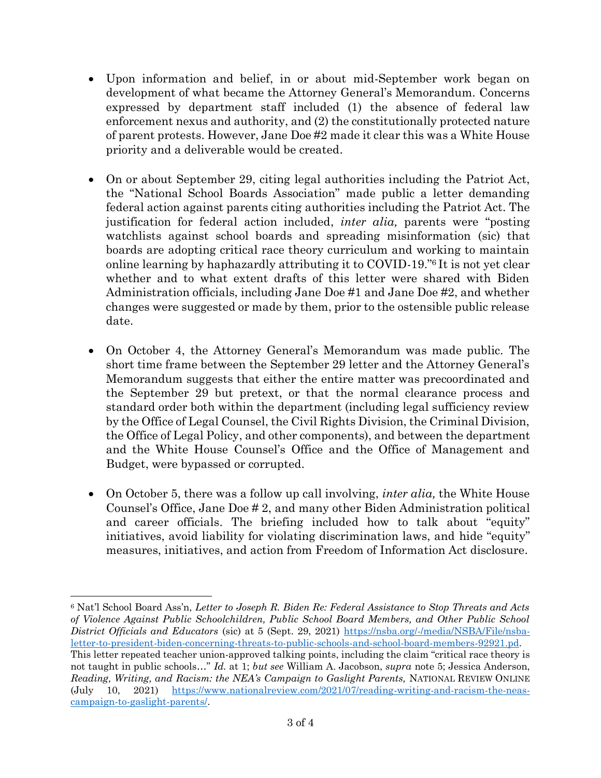- Upon information and belief, in or about mid-September work began on development of what became the Attorney General's Memorandum. Concerns expressed by department staff included (1) the absence of federal law enforcement nexus and authority, and (2) the constitutionally protected nature of parent protests. However, Jane Doe #2 made it clear this was a White House priority and a deliverable would be created.
- On or about September 29, citing legal authorities including the Patriot Act, the "National School Boards Association" made public a letter demanding federal action against parents citing authorities including the Patriot Act. The justification for federal action included, *inter alia,* parents were "posting watchlists against school boards and spreading misinformation (sic) that boards are adopting critical race theory curriculum and working to maintain online learning by haphazardly attributing it to COVID-19."<sup>6</sup> It is not yet clear whether and to what extent drafts of this letter were shared with Biden Administration officials, including Jane Doe #1 and Jane Doe #2, and whether changes were suggested or made by them, prior to the ostensible public release date.
- On October 4, the Attorney General's Memorandum was made public. The short time frame between the September 29 letter and the Attorney General's Memorandum suggests that either the entire matter was precoordinated and the September 29 but pretext, or that the normal clearance process and standard order both within the department (including legal sufficiency review by the Office of Legal Counsel, the Civil Rights Division, the Criminal Division, the Office of Legal Policy, and other components), and between the department and the White House Counsel's Office and the Office of Management and Budget, were bypassed or corrupted.
- On October 5, there was a follow up call involving, *inter alia,* the White House Counsel's Office, Jane Doe # 2, and many other Biden Administration political and career officials. The briefing included how to talk about "equity" initiatives, avoid liability for violating discrimination laws, and hide "equity" measures, initiatives, and action from Freedom of Information Act disclosure.

<sup>6</sup> Nat'l School Board Ass'n, *Letter to Joseph R. Biden Re: Federal Assistance to Stop Threats and Acts of Violence Against Public Schoolchildren, Public School Board Members, and Other Public School District Officials and Educators* (sic) at 5 (Sept. 29, 2021) [https://nsba.org/-/media/NSBA/File/nsba](https://nsba.org/-/media/NSBA/File/nsba-letter-to-president-biden-concerning-threats-to-public-schools-and-school-board-members-92921.pd)[letter-to-president-biden-concerning-threats-to-public-schools-and-school-board-members-92921.pd.](https://nsba.org/-/media/NSBA/File/nsba-letter-to-president-biden-concerning-threats-to-public-schools-and-school-board-members-92921.pd) This letter repeated teacher union-approved talking points, including the claim "critical race theory is not taught in public schools…" *Id.* at 1; *but see* William A. Jacobson, *supra* note 5; Jessica Anderson, *Reading, Writing, and Racism: the NEA's Campaign to Gaslight Parents,* NATIONAL REVIEW ONLINE (July 10, 2021) [https://www.nationalreview.com/2021/07/reading-writing-and-racism-the-neas](https://www.nationalreview.com/2021/07/reading-writing-and-racism-the-neas-campaign-to-gaslight-parents/)[campaign-to-gaslight-parents/.](https://www.nationalreview.com/2021/07/reading-writing-and-racism-the-neas-campaign-to-gaslight-parents/)